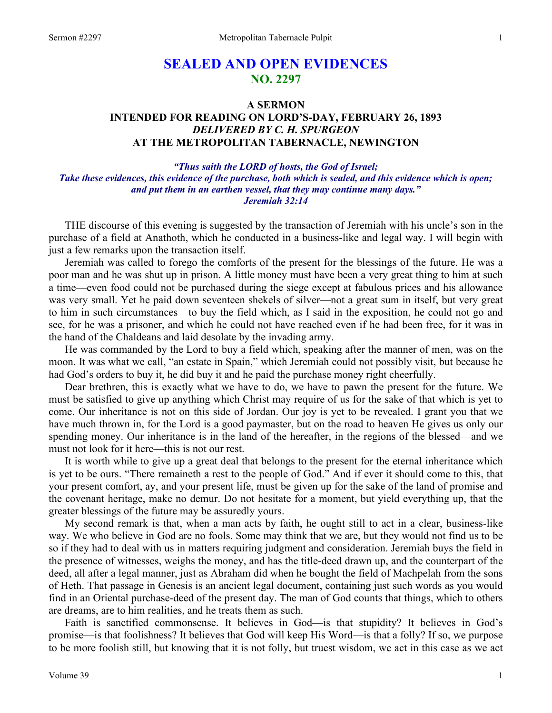# **SEALED AND OPEN EVIDENCES NO. 2297**

### **A SERMON INTENDED FOR READING ON LORD'S-DAY, FEBRUARY 26, 1893**  *DELIVERED BY C. H. SPURGEON*  **AT THE METROPOLITAN TABERNACLE, NEWINGTON**

#### *"Thus saith the LORD of hosts, the God of Israel; Take these evidences, this evidence of the purchase, both which is sealed, and this evidence which is open; and put them in an earthen vessel, that they may continue many days." Jeremiah 32:14*

THE discourse of this evening is suggested by the transaction of Jeremiah with his uncle's son in the purchase of a field at Anathoth, which he conducted in a business-like and legal way. I will begin with just a few remarks upon the transaction itself.

 Jeremiah was called to forego the comforts of the present for the blessings of the future. He was a poor man and he was shut up in prison. A little money must have been a very great thing to him at such a time—even food could not be purchased during the siege except at fabulous prices and his allowance was very small. Yet he paid down seventeen shekels of silver—not a great sum in itself, but very great to him in such circumstances—to buy the field which, as I said in the exposition, he could not go and see, for he was a prisoner, and which he could not have reached even if he had been free, for it was in the hand of the Chaldeans and laid desolate by the invading army.

 He was commanded by the Lord to buy a field which, speaking after the manner of men, was on the moon. It was what we call, "an estate in Spain," which Jeremiah could not possibly visit, but because he had God's orders to buy it, he did buy it and he paid the purchase money right cheerfully.

 Dear brethren, this is exactly what we have to do, we have to pawn the present for the future. We must be satisfied to give up anything which Christ may require of us for the sake of that which is yet to come. Our inheritance is not on this side of Jordan. Our joy is yet to be revealed. I grant you that we have much thrown in, for the Lord is a good paymaster, but on the road to heaven He gives us only our spending money. Our inheritance is in the land of the hereafter, in the regions of the blessed—and we must not look for it here—this is not our rest.

 It is worth while to give up a great deal that belongs to the present for the eternal inheritance which is yet to be ours. "There remaineth a rest to the people of God." And if ever it should come to this, that your present comfort, ay, and your present life, must be given up for the sake of the land of promise and the covenant heritage, make no demur. Do not hesitate for a moment, but yield everything up, that the greater blessings of the future may be assuredly yours.

 My second remark is that, when a man acts by faith, he ought still to act in a clear, business-like way. We who believe in God are no fools. Some may think that we are, but they would not find us to be so if they had to deal with us in matters requiring judgment and consideration. Jeremiah buys the field in the presence of witnesses, weighs the money, and has the title-deed drawn up, and the counterpart of the deed, all after a legal manner, just as Abraham did when he bought the field of Machpelah from the sons of Heth. That passage in Genesis is an ancient legal document, containing just such words as you would find in an Oriental purchase-deed of the present day. The man of God counts that things, which to others are dreams, are to him realities, and he treats them as such.

 Faith is sanctified commonsense. It believes in God—is that stupidity? It believes in God's promise—is that foolishness? It believes that God will keep His Word—is that a folly? If so, we purpose to be more foolish still, but knowing that it is not folly, but truest wisdom, we act in this case as we act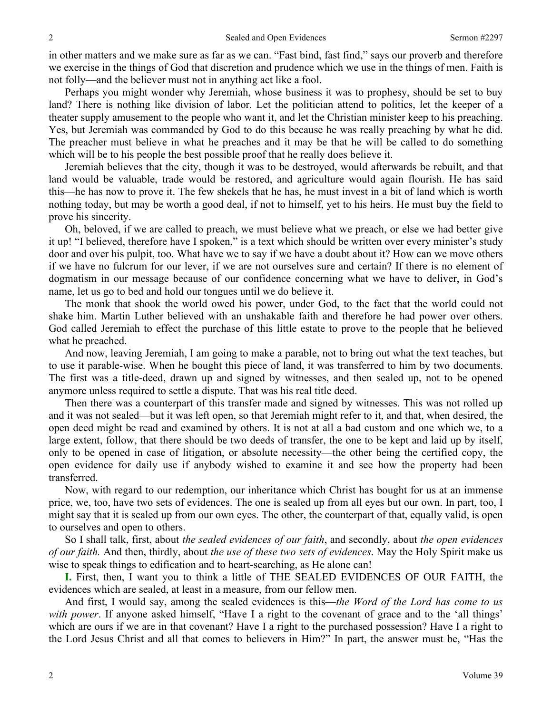in other matters and we make sure as far as we can. "Fast bind, fast find," says our proverb and therefore we exercise in the things of God that discretion and prudence which we use in the things of men. Faith is not folly—and the believer must not in anything act like a fool.

 Perhaps you might wonder why Jeremiah, whose business it was to prophesy, should be set to buy land? There is nothing like division of labor. Let the politician attend to politics, let the keeper of a theater supply amusement to the people who want it, and let the Christian minister keep to his preaching. Yes, but Jeremiah was commanded by God to do this because he was really preaching by what he did. The preacher must believe in what he preaches and it may be that he will be called to do something which will be to his people the best possible proof that he really does believe it.

 Jeremiah believes that the city, though it was to be destroyed, would afterwards be rebuilt, and that land would be valuable, trade would be restored, and agriculture would again flourish. He has said this—he has now to prove it. The few shekels that he has, he must invest in a bit of land which is worth nothing today, but may be worth a good deal, if not to himself, yet to his heirs. He must buy the field to prove his sincerity.

 Oh, beloved, if we are called to preach, we must believe what we preach, or else we had better give it up! "I believed, therefore have I spoken," is a text which should be written over every minister's study door and over his pulpit, too. What have we to say if we have a doubt about it? How can we move others if we have no fulcrum for our lever, if we are not ourselves sure and certain? If there is no element of dogmatism in our message because of our confidence concerning what we have to deliver, in God's name, let us go to bed and hold our tongues until we do believe it.

 The monk that shook the world owed his power, under God, to the fact that the world could not shake him. Martin Luther believed with an unshakable faith and therefore he had power over others. God called Jeremiah to effect the purchase of this little estate to prove to the people that he believed what he preached.

 And now, leaving Jeremiah, I am going to make a parable, not to bring out what the text teaches, but to use it parable-wise. When he bought this piece of land, it was transferred to him by two documents. The first was a title-deed, drawn up and signed by witnesses, and then sealed up, not to be opened anymore unless required to settle a dispute. That was his real title deed.

 Then there was a counterpart of this transfer made and signed by witnesses. This was not rolled up and it was not sealed—but it was left open, so that Jeremiah might refer to it, and that, when desired, the open deed might be read and examined by others. It is not at all a bad custom and one which we, to a large extent, follow, that there should be two deeds of transfer, the one to be kept and laid up by itself, only to be opened in case of litigation, or absolute necessity—the other being the certified copy, the open evidence for daily use if anybody wished to examine it and see how the property had been transferred.

 Now, with regard to our redemption, our inheritance which Christ has bought for us at an immense price, we, too, have two sets of evidences. The one is sealed up from all eyes but our own. In part, too, I might say that it is sealed up from our own eyes. The other, the counterpart of that, equally valid, is open to ourselves and open to others.

 So I shall talk, first, about *the sealed evidences of our faith*, and secondly, about *the open evidences of our faith.* And then, thirdly, about *the use of these two sets of evidences*. May the Holy Spirit make us wise to speak things to edification and to heart-searching, as He alone can!

**I.** First, then, I want you to think a little of THE SEALED EVIDENCES OF OUR FAITH, the evidences which are sealed, at least in a measure, from our fellow men.

 And first, I would say, among the sealed evidences is this—*the Word of the Lord has come to us with power*. If anyone asked himself, "Have I a right to the covenant of grace and to the 'all things' which are ours if we are in that covenant? Have I a right to the purchased possession? Have I a right to the Lord Jesus Christ and all that comes to believers in Him?" In part, the answer must be, "Has the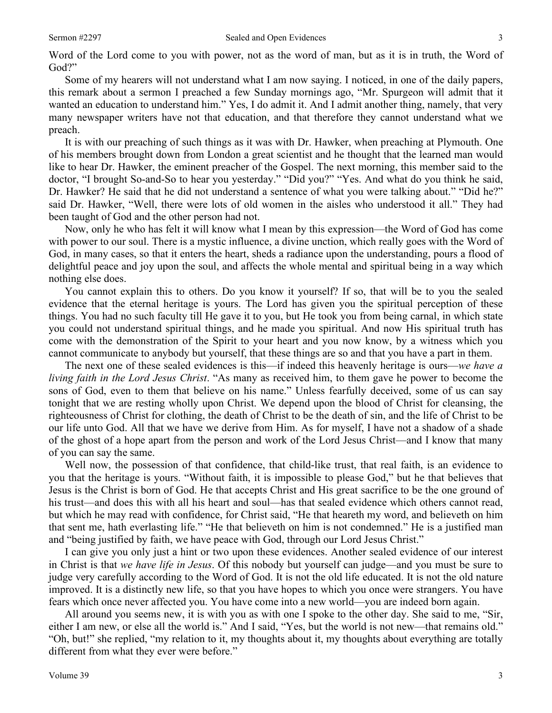Word of the Lord come to you with power, not as the word of man, but as it is in truth, the Word of God?"

 Some of my hearers will not understand what I am now saying. I noticed, in one of the daily papers, this remark about a sermon I preached a few Sunday mornings ago, "Mr. Spurgeon will admit that it wanted an education to understand him." Yes, I do admit it. And I admit another thing, namely, that very many newspaper writers have not that education, and that therefore they cannot understand what we preach.

 It is with our preaching of such things as it was with Dr. Hawker, when preaching at Plymouth. One of his members brought down from London a great scientist and he thought that the learned man would like to hear Dr. Hawker, the eminent preacher of the Gospel. The next morning, this member said to the doctor, "I brought So-and-So to hear you yesterday." "Did you?" "Yes. And what do you think he said, Dr. Hawker? He said that he did not understand a sentence of what you were talking about." "Did he?" said Dr. Hawker, "Well, there were lots of old women in the aisles who understood it all." They had been taught of God and the other person had not.

 Now, only he who has felt it will know what I mean by this expression—the Word of God has come with power to our soul. There is a mystic influence, a divine unction, which really goes with the Word of God, in many cases, so that it enters the heart, sheds a radiance upon the understanding, pours a flood of delightful peace and joy upon the soul, and affects the whole mental and spiritual being in a way which nothing else does.

 You cannot explain this to others. Do you know it yourself? If so, that will be to you the sealed evidence that the eternal heritage is yours. The Lord has given you the spiritual perception of these things. You had no such faculty till He gave it to you, but He took you from being carnal, in which state you could not understand spiritual things, and he made you spiritual. And now His spiritual truth has come with the demonstration of the Spirit to your heart and you now know, by a witness which you cannot communicate to anybody but yourself, that these things are so and that you have a part in them.

 The next one of these sealed evidences is this—if indeed this heavenly heritage is ours—*we have a living faith in the Lord Jesus Christ*. "As many as received him, to them gave he power to become the sons of God, even to them that believe on his name." Unless fearfully deceived, some of us can say tonight that we are resting wholly upon Christ. We depend upon the blood of Christ for cleansing, the righteousness of Christ for clothing, the death of Christ to be the death of sin, and the life of Christ to be our life unto God. All that we have we derive from Him. As for myself, I have not a shadow of a shade of the ghost of a hope apart from the person and work of the Lord Jesus Christ—and I know that many of you can say the same.

 Well now, the possession of that confidence, that child-like trust, that real faith, is an evidence to you that the heritage is yours. "Without faith, it is impossible to please God," but he that believes that Jesus is the Christ is born of God. He that accepts Christ and His great sacrifice to be the one ground of his trust—and does this with all his heart and soul—has that sealed evidence which others cannot read, but which he may read with confidence, for Christ said, "He that heareth my word, and believeth on him that sent me, hath everlasting life." "He that believeth on him is not condemned." He is a justified man and "being justified by faith, we have peace with God, through our Lord Jesus Christ."

 I can give you only just a hint or two upon these evidences. Another sealed evidence of our interest in Christ is that *we have life in Jesus*. Of this nobody but yourself can judge—and you must be sure to judge very carefully according to the Word of God. It is not the old life educated. It is not the old nature improved. It is a distinctly new life, so that you have hopes to which you once were strangers. You have fears which once never affected you. You have come into a new world—you are indeed born again.

 All around you seems new, it is with you as with one I spoke to the other day. She said to me, "Sir, either I am new, or else all the world is." And I said, "Yes, but the world is not new—that remains old." "Oh, but!" she replied, "my relation to it, my thoughts about it, my thoughts about everything are totally different from what they ever were before."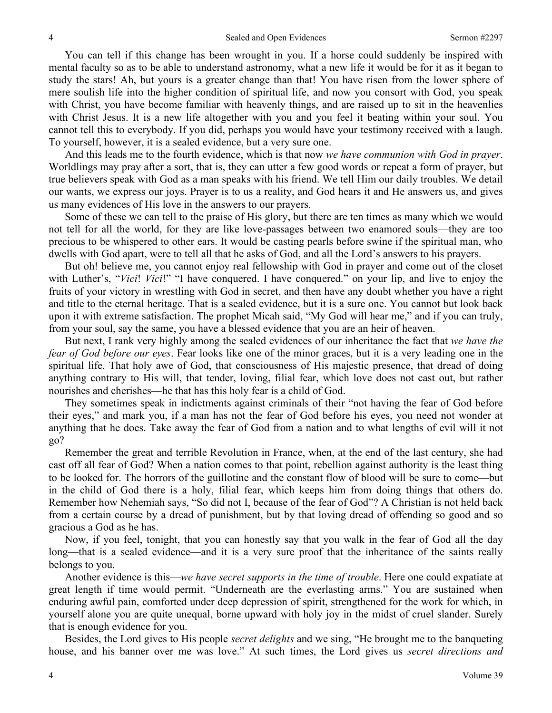You can tell if this change has been wrought in you. If a horse could suddenly be inspired with mental faculty so as to be able to understand astronomy, what a new life it would be for it as it began to study the stars! Ah, but yours is a greater change than that! You have risen from the lower sphere of mere soulish life into the higher condition of spiritual life, and now you consort with God, you speak with Christ, you have become familiar with heavenly things, and are raised up to sit in the heavenlies with Christ Jesus. It is a new life altogether with you and you feel it beating within your soul. You cannot tell this to everybody. If you did, perhaps you would have your testimony received with a laugh. To yourself, however, it is a sealed evidence, but a very sure one.

 And this leads me to the fourth evidence, which is that now *we have communion with God in prayer*. Worldlings may pray after a sort, that is, they can utter a few good words or repeat a form of prayer, but true believers speak with God as a man speaks with his friend. We tell Him our daily troubles. We detail our wants, we express our joys. Prayer is to us a reality, and God hears it and He answers us, and gives us many evidences of His love in the answers to our prayers.

 Some of these we can tell to the praise of His glory, but there are ten times as many which we would not tell for all the world, for they are like love-passages between two enamored souls—they are too precious to be whispered to other ears. It would be casting pearls before swine if the spiritual man, who dwells with God apart, were to tell all that he asks of God, and all the Lord's answers to his prayers.

 But oh! believe me, you cannot enjoy real fellowship with God in prayer and come out of the closet with Luther's, "*Vici*! *Vici*!" "I have conquered. I have conquered." on your lip, and live to enjoy the fruits of your victory in wrestling with God in secret, and then have any doubt whether you have a right and title to the eternal heritage. That is a sealed evidence, but it is a sure one. You cannot but look back upon it with extreme satisfaction. The prophet Micah said, "My God will hear me," and if you can truly, from your soul, say the same, you have a blessed evidence that you are an heir of heaven.

 But next, I rank very highly among the sealed evidences of our inheritance the fact that *we have the fear of God before our eyes*. Fear looks like one of the minor graces, but it is a very leading one in the spiritual life. That holy awe of God, that consciousness of His majestic presence, that dread of doing anything contrary to His will, that tender, loving, filial fear, which love does not cast out, but rather nourishes and cherishes—he that has this holy fear is a child of God.

 They sometimes speak in indictments against criminals of their "not having the fear of God before their eyes," and mark you, if a man has not the fear of God before his eyes, you need not wonder at anything that he does. Take away the fear of God from a nation and to what lengths of evil will it not go?

 Remember the great and terrible Revolution in France, when, at the end of the last century, she had cast off all fear of God? When a nation comes to that point, rebellion against authority is the least thing to be looked for. The horrors of the guillotine and the constant flow of blood will be sure to come—but in the child of God there is a holy, filial fear, which keeps him from doing things that others do. Remember how Nehemiah says, "So did not I, because of the fear of God"? A Christian is not held back from a certain course by a dread of punishment, but by that loving dread of offending so good and so gracious a God as he has.

 Now, if you feel, tonight, that you can honestly say that you walk in the fear of God all the day long—that is a sealed evidence—and it is a very sure proof that the inheritance of the saints really belongs to you.

 Another evidence is this—*we have secret supports in the time of trouble*. Here one could expatiate at great length if time would permit. "Underneath are the everlasting arms." You are sustained when enduring awful pain, comforted under deep depression of spirit, strengthened for the work for which, in yourself alone you are quite unequal, borne upward with holy joy in the midst of cruel slander. Surely that is enough evidence for you.

 Besides, the Lord gives to His people *secret delights* and we sing, "He brought me to the banqueting house, and his banner over me was love." At such times, the Lord gives us *secret directions and*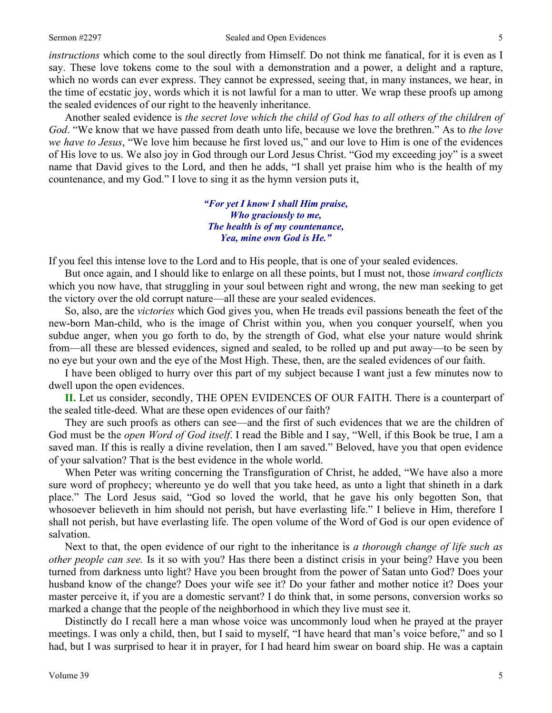#### Sermon #2297 Sealed and Open Evidences 5

*instructions* which come to the soul directly from Himself. Do not think me fanatical, for it is even as I say. These love tokens come to the soul with a demonstration and a power, a delight and a rapture, which no words can ever express. They cannot be expressed, seeing that, in many instances, we hear, in the time of ecstatic joy, words which it is not lawful for a man to utter. We wrap these proofs up among the sealed evidences of our right to the heavenly inheritance.

 Another sealed evidence is *the secret love which the child of God has to all others of the children of God*. "We know that we have passed from death unto life, because we love the brethren." As to *the love we have to Jesus*, "We love him because he first loved us," and our love to Him is one of the evidences of His love to us. We also joy in God through our Lord Jesus Christ. "God my exceeding joy" is a sweet name that David gives to the Lord, and then he adds, "I shall yet praise him who is the health of my countenance, and my God." I love to sing it as the hymn version puts it,

> *"For yet I know I shall Him praise, Who graciously to me, The health is of my countenance, Yea, mine own God is He."*

If you feel this intense love to the Lord and to His people, that is one of your sealed evidences.

 But once again, and I should like to enlarge on all these points, but I must not, those *inward conflicts* which you now have, that struggling in your soul between right and wrong, the new man seeking to get the victory over the old corrupt nature—all these are your sealed evidences.

 So, also, are the *victories* which God gives you, when He treads evil passions beneath the feet of the new-born Man-child, who is the image of Christ within you, when you conquer yourself, when you subdue anger, when you go forth to do, by the strength of God, what else your nature would shrink from—all these are blessed evidences, signed and sealed, to be rolled up and put away—to be seen by no eye but your own and the eye of the Most High. These, then, are the sealed evidences of our faith.

 I have been obliged to hurry over this part of my subject because I want just a few minutes now to dwell upon the open evidences.

**II.** Let us consider, secondly, THE OPEN EVIDENCES OF OUR FAITH. There is a counterpart of the sealed title-deed. What are these open evidences of our faith?

 They are such proofs as others can see—and the first of such evidences that we are the children of God must be the *open Word of God itself*. I read the Bible and I say, "Well, if this Book be true, I am a saved man. If this is really a divine revelation, then I am saved." Beloved, have you that open evidence of your salvation? That is the best evidence in the whole world.

 When Peter was writing concerning the Transfiguration of Christ, he added, "We have also a more sure word of prophecy; whereunto ye do well that you take heed, as unto a light that shineth in a dark place." The Lord Jesus said, "God so loved the world, that he gave his only begotten Son, that whosoever believeth in him should not perish, but have everlasting life." I believe in Him, therefore I shall not perish, but have everlasting life. The open volume of the Word of God is our open evidence of salvation.

 Next to that, the open evidence of our right to the inheritance is *a thorough change of life such as other people can see.* Is it so with you? Has there been a distinct crisis in your being? Have you been turned from darkness unto light? Have you been brought from the power of Satan unto God? Does your husband know of the change? Does your wife see it? Do your father and mother notice it? Does your master perceive it, if you are a domestic servant? I do think that, in some persons, conversion works so marked a change that the people of the neighborhood in which they live must see it.

 Distinctly do I recall here a man whose voice was uncommonly loud when he prayed at the prayer meetings. I was only a child, then, but I said to myself, "I have heard that man's voice before," and so I had, but I was surprised to hear it in prayer, for I had heard him swear on board ship. He was a captain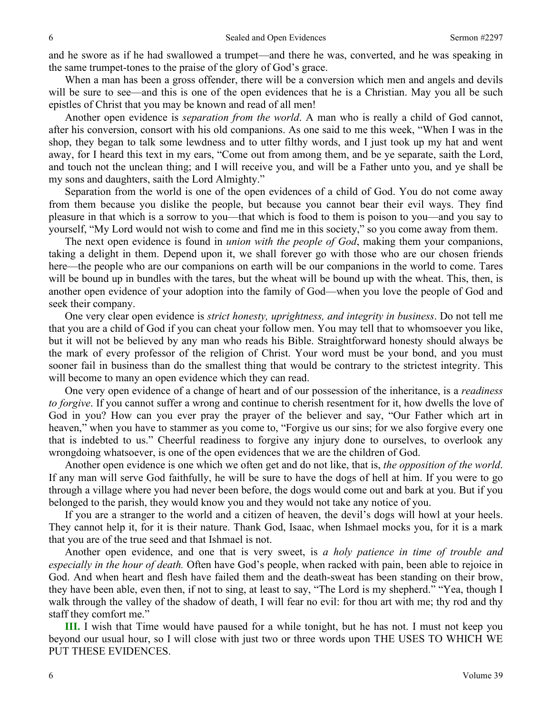and he swore as if he had swallowed a trumpet—and there he was, converted, and he was speaking in the same trumpet-tones to the praise of the glory of God's grace.

 When a man has been a gross offender, there will be a conversion which men and angels and devils will be sure to see—and this is one of the open evidences that he is a Christian. May you all be such epistles of Christ that you may be known and read of all men!

 Another open evidence is *separation from the world*. A man who is really a child of God cannot, after his conversion, consort with his old companions. As one said to me this week, "When I was in the shop, they began to talk some lewdness and to utter filthy words, and I just took up my hat and went away, for I heard this text in my ears, "Come out from among them, and be ye separate, saith the Lord, and touch not the unclean thing; and I will receive you, and will be a Father unto you, and ye shall be my sons and daughters, saith the Lord Almighty."

 Separation from the world is one of the open evidences of a child of God. You do not come away from them because you dislike the people, but because you cannot bear their evil ways. They find pleasure in that which is a sorrow to you—that which is food to them is poison to you—and you say to yourself, "My Lord would not wish to come and find me in this society," so you come away from them.

 The next open evidence is found in *union with the people of God*, making them your companions, taking a delight in them. Depend upon it, we shall forever go with those who are our chosen friends here—the people who are our companions on earth will be our companions in the world to come. Tares will be bound up in bundles with the tares, but the wheat will be bound up with the wheat. This, then, is another open evidence of your adoption into the family of God—when you love the people of God and seek their company.

 One very clear open evidence is *strict honesty, uprightness, and integrity in business*. Do not tell me that you are a child of God if you can cheat your follow men. You may tell that to whomsoever you like, but it will not be believed by any man who reads his Bible. Straightforward honesty should always be the mark of every professor of the religion of Christ. Your word must be your bond, and you must sooner fail in business than do the smallest thing that would be contrary to the strictest integrity. This will become to many an open evidence which they can read.

 One very open evidence of a change of heart and of our possession of the inheritance, is a *readiness to forgive*. If you cannot suffer a wrong and continue to cherish resentment for it, how dwells the love of God in you? How can you ever pray the prayer of the believer and say, "Our Father which art in heaven," when you have to stammer as you come to, "Forgive us our sins; for we also forgive every one that is indebted to us." Cheerful readiness to forgive any injury done to ourselves, to overlook any wrongdoing whatsoever, is one of the open evidences that we are the children of God.

 Another open evidence is one which we often get and do not like, that is, *the opposition of the world*. If any man will serve God faithfully, he will be sure to have the dogs of hell at him. If you were to go through a village where you had never been before, the dogs would come out and bark at you. But if you belonged to the parish, they would know you and they would not take any notice of you.

 If you are a stranger to the world and a citizen of heaven, the devil's dogs will howl at your heels. They cannot help it, for it is their nature. Thank God, Isaac, when Ishmael mocks you, for it is a mark that you are of the true seed and that Ishmael is not.

 Another open evidence, and one that is very sweet, is *a holy patience in time of trouble and especially in the hour of death.* Often have God's people, when racked with pain, been able to rejoice in God. And when heart and flesh have failed them and the death-sweat has been standing on their brow, they have been able, even then, if not to sing, at least to say, "The Lord is my shepherd." "Yea, though I walk through the valley of the shadow of death, I will fear no evil: for thou art with me; thy rod and thy staff they comfort me."

**III.** I wish that Time would have paused for a while tonight, but he has not. I must not keep you beyond our usual hour, so I will close with just two or three words upon THE USES TO WHICH WE PUT THESE EVIDENCES.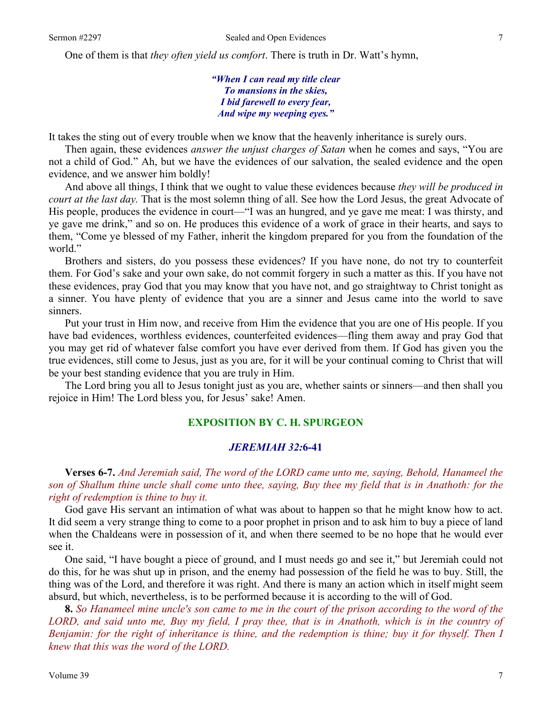One of them is that *they often yield us comfort*. There is truth in Dr. Watt's hymn,

*"When I can read my title clear To mansions in the skies, I bid farewell to every fear, And wipe my weeping eyes."* 

It takes the sting out of every trouble when we know that the heavenly inheritance is surely ours.

 Then again, these evidences *answer the unjust charges of Satan* when he comes and says, "You are not a child of God." Ah, but we have the evidences of our salvation, the sealed evidence and the open evidence, and we answer him boldly!

 And above all things, I think that we ought to value these evidences because *they will be produced in court at the last day.* That is the most solemn thing of all. See how the Lord Jesus, the great Advocate of His people, produces the evidence in court—"I was an hungred, and ye gave me meat: I was thirsty, and ye gave me drink," and so on. He produces this evidence of a work of grace in their hearts, and says to them, "Come ye blessed of my Father, inherit the kingdom prepared for you from the foundation of the world."

 Brothers and sisters, do you possess these evidences? If you have none, do not try to counterfeit them. For God's sake and your own sake, do not commit forgery in such a matter as this. If you have not these evidences, pray God that you may know that you have not, and go straightway to Christ tonight as a sinner. You have plenty of evidence that you are a sinner and Jesus came into the world to save sinners.

 Put your trust in Him now, and receive from Him the evidence that you are one of His people. If you have bad evidences, worthless evidences, counterfeited evidences—fling them away and pray God that you may get rid of whatever false comfort you have ever derived from them. If God has given you the true evidences, still come to Jesus, just as you are, for it will be your continual coming to Christ that will be your best standing evidence that you are truly in Him.

 The Lord bring you all to Jesus tonight just as you are, whether saints or sinners—and then shall you rejoice in Him! The Lord bless you, for Jesus' sake! Amen.

## **EXPOSITION BY C. H. SPURGEON**

#### *JEREMIAH 32:***6-41**

 **Verses 6-7.** *And Jeremiah said, The word of the LORD came unto me, saying, Behold, Hanameel the son of Shallum thine uncle shall come unto thee, saying, Buy thee my field that is in Anathoth: for the right of redemption is thine to buy it.* 

God gave His servant an intimation of what was about to happen so that he might know how to act. It did seem a very strange thing to come to a poor prophet in prison and to ask him to buy a piece of land when the Chaldeans were in possession of it, and when there seemed to be no hope that he would ever see it.

 One said, "I have bought a piece of ground, and I must needs go and see it," but Jeremiah could not do this, for he was shut up in prison, and the enemy had possession of the field he was to buy. Still, the thing was of the Lord, and therefore it was right. And there is many an action which in itself might seem absurd, but which, nevertheless, is to be performed because it is according to the will of God.

**8.** *So Hanameel mine uncle's son came to me in the court of the prison according to the word of the LORD, and said unto me, Buy my field, I pray thee, that is in Anathoth, which is in the country of Benjamin: for the right of inheritance is thine, and the redemption is thine; buy it for thyself. Then I knew that this was the word of the LORD.*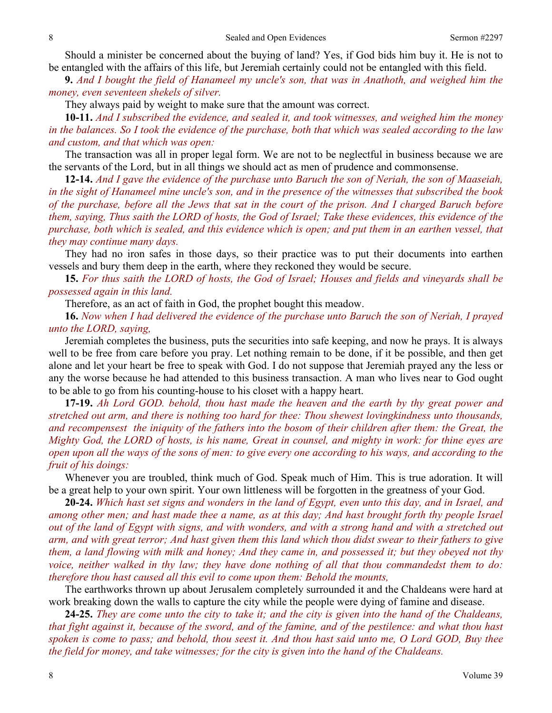Should a minister be concerned about the buying of land? Yes, if God bids him buy it. He is not to be entangled with the affairs of this life, but Jeremiah certainly could not be entangled with this field.

**9.** *And I bought the field of Hanameel my uncle's son, that was in Anathoth, and weighed him the money, even seventeen shekels of silver.* 

They always paid by weight to make sure that the amount was correct.

**10-11.** *And I subscribed the evidence, and sealed it, and took witnesses, and weighed him the money in the balances. So I took the evidence of the purchase, both that which was sealed according to the law and custom, and that which was open:* 

 The transaction was all in proper legal form. We are not to be neglectful in business because we are the servants of the Lord, but in all things we should act as men of prudence and commonsense.

**12-14.** *And I gave the evidence of the purchase unto Baruch the son of Neriah, the son of Maaseiah, in the sight of Hanameel mine uncle's son, and in the presence of the witnesses that subscribed the book of the purchase, before all the Jews that sat in the court of the prison. And I charged Baruch before them, saying, Thus saith the LORD of hosts, the God of Israel; Take these evidences, this evidence of the purchase, both which is sealed, and this evidence which is open; and put them in an earthen vessel, that they may continue many days.* 

 They had no iron safes in those days, so their practice was to put their documents into earthen vessels and bury them deep in the earth, where they reckoned they would be secure.

**15.** *For thus saith the LORD of hosts, the God of Israel; Houses and fields and vineyards shall be possessed again in this land.* 

Therefore, as an act of faith in God, the prophet bought this meadow.

**16.** *Now when I had delivered the evidence of the purchase unto Baruch the son of Neriah, I prayed unto the LORD, saying,* 

 Jeremiah completes the business, puts the securities into safe keeping, and now he prays. It is always well to be free from care before you pray. Let nothing remain to be done, if it be possible, and then get alone and let your heart be free to speak with God. I do not suppose that Jeremiah prayed any the less or any the worse because he had attended to this business transaction. A man who lives near to God ought to be able to go from his counting-house to his closet with a happy heart.

**17-19.** *Ah Lord GOD. behold, thou hast made the heaven and the earth by thy great power and stretched out arm, and there is nothing too hard for thee: Thou shewest lovingkindness unto thousands, and recompensest the iniquity of the fathers into the bosom of their children after them: the Great, the Mighty God, the LORD of hosts, is his name, Great in counsel, and mighty in work: for thine eyes are open upon all the ways of the sons of men: to give every one according to his ways, and according to the fruit of his doings:* 

 Whenever you are troubled, think much of God. Speak much of Him. This is true adoration. It will be a great help to your own spirit. Your own littleness will be forgotten in the greatness of your God.

**20-24.** *Which hast set signs and wonders in the land of Egypt, even unto this day, and in Israel, and among other men; and hast made thee a name, as at this day; And hast brought forth thy people Israel out of the land of Egypt with signs, and with wonders, and with a strong hand and with a stretched out arm, and with great terror; And hast given them this land which thou didst swear to their fathers to give them, a land flowing with milk and honey; And they came in, and possessed it; but they obeyed not thy voice, neither walked in thy law; they have done nothing of all that thou commandedst them to do: therefore thou hast caused all this evil to come upon them: Behold the mounts,* 

 The earthworks thrown up about Jerusalem completely surrounded it and the Chaldeans were hard at work breaking down the walls to capture the city while the people were dying of famine and disease.

**24-25.** *They are come unto the city to take it; and the city is given into the hand of the Chaldeans, that fight against it, because of the sword, and of the famine, and of the pestilence: and what thou hast spoken is come to pass; and behold, thou seest it. And thou hast said unto me, O Lord GOD, Buy thee the field for money, and take witnesses; for the city is given into the hand of the Chaldeans.*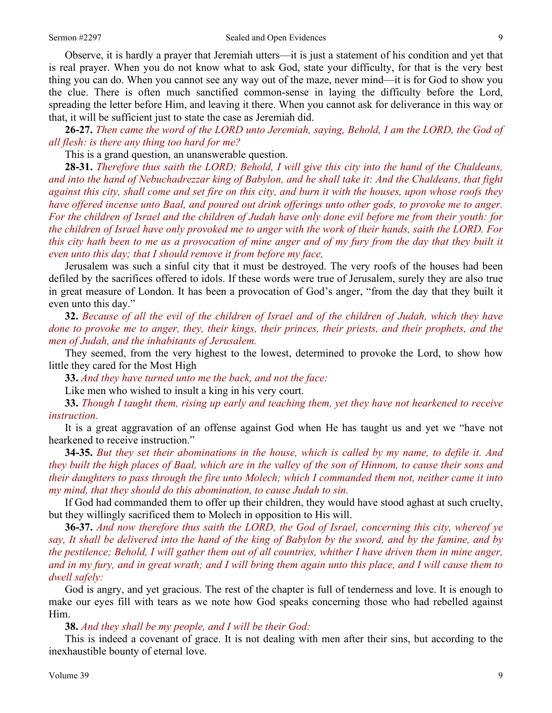Observe, it is hardly a prayer that Jeremiah utters—it is just a statement of his condition and yet that is real prayer. When you do not know what to ask God, state your difficulty, for that is the very best thing you can do. When you cannot see any way out of the maze, never mind—it is for God to show you the clue. There is often much sanctified common-sense in laying the difficulty before the Lord, spreading the letter before Him, and leaving it there. When you cannot ask for deliverance in this way or that, it will be sufficient just to state the case as Jeremiah did.

**26-27.** *Then came the word of the LORD unto Jeremiah, saying, Behold, I am the LORD, the God of all flesh: is there any thing too hard for me?* 

This is a grand question, an unanswerable question.

**28-31.** *Therefore thus saith the LORD; Behold, I will give this city into the hand of the Chaldeans, and into the hand of Nebuchadrezzar king of Babylon, and he shall take it: And the Chaldeans, that fight against this city, shall come and set fire on this city, and burn it with the houses, upon whose roofs they have offered incense unto Baal, and poured out drink offerings unto other gods, to provoke me to anger. For the children of Israel and the children of Judah have only done evil before me from their youth: for the children of Israel have only provoked me to anger with the work of their hands, saith the LORD. For this city hath been to me as a provocation of mine anger and of my fury from the day that they built it even unto this day; that I should remove it from before my face,* 

 Jerusalem was such a sinful city that it must be destroyed. The very roofs of the houses had been defiled by the sacrifices offered to idols. If these words were true of Jerusalem, surely they are also true in great measure of London. It has been a provocation of God's anger, "from the day that they built it even unto this day."

**32.** *Because of all the evil of the children of Israel and of the children of Judah, which they have done to provoke me to anger, they, their kings, their princes, their priests, and their prophets, and the men of Judah, and the inhabitants of Jerusalem.* 

 They seemed, from the very highest to the lowest, determined to provoke the Lord, to show how little they cared for the Most High

**33.** *And they have turned unto me the back, and not the face:*

Like men who wished to insult a king in his very court.

**33.** *Though I taught them, rising up early and teaching them, yet they have not hearkened to receive instruction.* 

 It is a great aggravation of an offense against God when He has taught us and yet we "have not hearkened to receive instruction."

**34-35.** *But they set their abominations in the house, which is called by my name, to defile it. And they built the high places of Baal, which are in the valley of the son of Hinnom, to cause their sons and their daughters to pass through the fire unto Molech; which I commanded them not, neither came it into my mind, that they should do this abomination, to cause Judah to sin.* 

 If God had commanded them to offer up their children, they would have stood aghast at such cruelty, but they willingly sacrificed them to Molech in opposition to His will.

**36-37.** *And now therefore thus saith the LORD, the God of Israel, concerning this city, whereof ye say, It shall be delivered into the hand of the king of Babylon by the sword, and by the famine, and by the pestilence; Behold, I will gather them out of all countries, whither I have driven them in mine anger, and in my fury, and in great wrath; and I will bring them again unto this place, and I will cause them to dwell safely:* 

 God is angry, and yet gracious. The rest of the chapter is full of tenderness and love. It is enough to make our eyes fill with tears as we note how God speaks concerning those who had rebelled against Him.

**38.** *And they shall be my people, and I will be their God:* 

 This is indeed a covenant of grace. It is not dealing with men after their sins, but according to the inexhaustible bounty of eternal love.